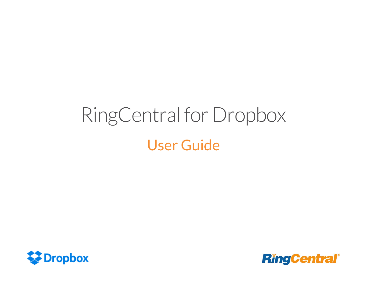# RingCentral for Dropbox User Guide



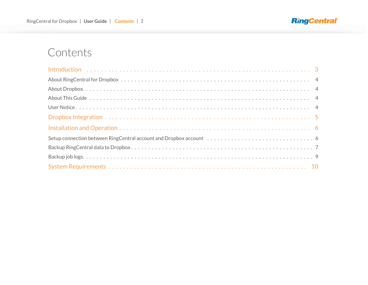

## **Contents**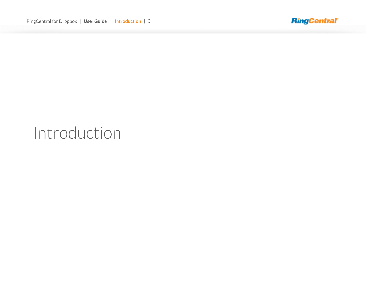

## <span id="page-2-0"></span>Introduction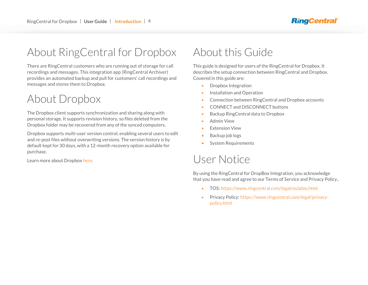## <span id="page-3-0"></span>About RingCentral for Dropbox

There are RingCentral customers who are running out of storage for call recordings and messages. This integration app (RingCentral Archiver) provides an automated backup and pull for customers' call recordings and messages and stores them to Dropbox.

## <span id="page-3-1"></span>About Dropbox

The Dropbox client supports synchronization and sharing along with personal storage. It supports revision history, so files deleted from the Dropbox folder may be recovered from any of the synced computers.

Dropbox supports multi-user version control, enabling several users to edit and re-post files without overwriting versions. The version history is by default kept for 30 days, with a 12-month recovery option available for purchase.

## <span id="page-3-2"></span>About this Guide

This guide is designed for users of the RingCentral for Dropbox. It describes the setup connection between RingCentral and Dropbox. Covered in this guide are:

- Dropbox Integration
- Installation and Operation
- Connection between RingCentral and Dropbox accounts
- **CONNECT and DISCONNECT buttons**
- Backup RingCentral data to Dropbox
- Admin View
- Extension View
- Backup job logs
- <span id="page-3-3"></span>• System Requirements

## Learn more about Dropbox [here.](https://www.dropbox.com/) USER Notice

By using the RingCentral for DropBox Integration, you acknowledge that you have read and agree to our Terms of Service and Privacy Policy..

- TOS[: https://www.ringcentral.com/legal/eulatos.html](https://www.ringcentral.com/legal/eulatos.html)
- Privacy Policy[: https://www.ringcentral.com/legal/privacy](https://www.ringcentral.com/legal/privacy-policy.html)[policy.html](https://www.ringcentral.com/legal/privacy-policy.html)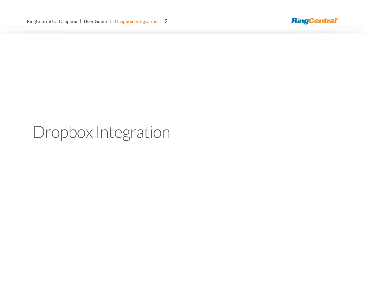

## <span id="page-4-0"></span>Dropbox Integration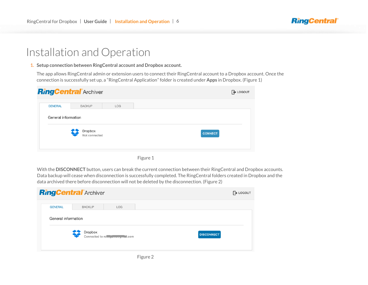### **RingCentral**

## <span id="page-5-0"></span>Installation and Operation

<span id="page-5-1"></span>**1. Setup connection between RingCentral account and Dropbox account.**

The app allows RingCentral admin or extension users to connect their RingCentral account to a Dropbox account. Once the connection is successfully set up, a "RingCentral Application" folder is created under **Apps** in Dropbox. (Figure 1)

Figure 1

With the **DISCONNECT** button, users can break the current connection between their RingCentral and Dropbox accounts. Data backup will cease when disconnection is successfully completed. The RingCentral folders created in Dropbox and the data archived there before disconnection will not be deleted by the disconnection. (Figure 2)



Figure 2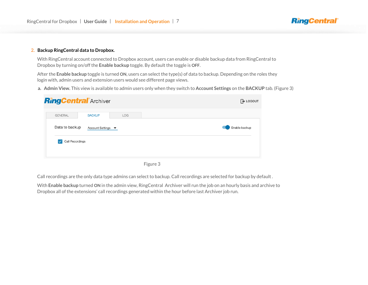#### <span id="page-6-0"></span>**2. Backup RingCentral data to Dropbox.**

With RingCentral account connected to Dropbox account, users can enable or disable backup data from RingCentral to Dropbox by turning on/off the **Enable backup** toggle. By default the toggle is **OFF**.

After the **Enable backup** toggle is turned **ON**, users can select the type(s) of data to backup. Depending on the roles they login with, admin users and extension users would see different page views.

**a. Admin View.** This view is available to admin users only when they switch to **Account Settings** on the **BACKUP** tab. (Figure 3)

**RingCentral** 

|                |                        | <b>RingCentral</b> Archiver |            | $\rightarrow$ LOGOUT |
|----------------|------------------------|-----------------------------|------------|----------------------|
| <b>GENERAL</b> |                        | <b>BACKUP</b>               | <b>LOG</b> |                      |
|                | Data to backup         | Account Settings ▼          |            | Enable backup        |
| $\checkmark$   | <b>Call Recordings</b> |                             |            |                      |
|                |                        |                             |            |                      |

Figure 3

Call recordings are the only data type admins can select to backup. Call recordings are selected for backup by default .

With **Enable backup** turned **ON** in the admin view, RingCentral Archiver will run the job on an hourly basis and archive to Dropbox all of the extensions' call recordings generated within the hour before last Archiver job run.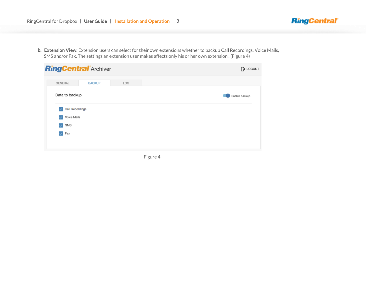**b. Extension View.** Extension users can select for their own extensions whether to backup Call Recordings, Voice Mails, SMS and/or Fax. The settings an extension user makes affects only his or her own extension.. (Figure 4)

**RingCentral** 

|                                        | <b>RingCentral Archiver</b> |     | <b>D</b> LOGOUT |  |  |
|----------------------------------------|-----------------------------|-----|-----------------|--|--|
| <b>GENERAL</b>                         | <b>BACKUP</b>               | LOG |                 |  |  |
| Data to backup                         |                             |     | Enable backup   |  |  |
| <b>Call Recordings</b><br>$\checkmark$ |                             |     |                 |  |  |
| Voice Mails<br>$\checkmark$            |                             |     |                 |  |  |
| SMS<br>$\checkmark$                    |                             |     |                 |  |  |
|                                        |                             |     |                 |  |  |

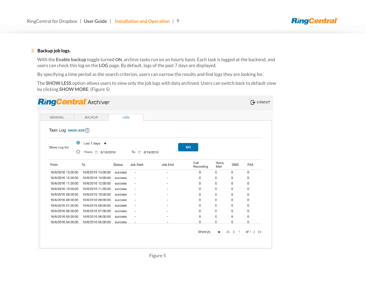#### <span id="page-8-0"></span>**3. Backup job logs.**

With the **Enable backup** toggle turned **ON**, archive tasks run on an hourly basis. Each task is logged at the backend, and users can check this log on the **LOG** page. By default, logs of the past 7 days are displayed.

**RingCentral** 

By specifying a time period as the search criterion, users can narrow the results and find logs they are looking for.

The **SHOW LESS** option allows users to view only the job logs with data archived. Users can switch back to default view by clicking **SHOW MORE**. (Figure 5)

| <b>GENERAL</b>       |           | <b>BACKUP</b>                    | LOG            |                          |                 |                   |               |             |            |
|----------------------|-----------|----------------------------------|----------------|--------------------------|-----------------|-------------------|---------------|-------------|------------|
| Task Log sноw LEss ? |           |                                  |                |                          |                 |                   |               |             |            |
|                      | $\bullet$ | Last 7 days $\blacktriangledown$ |                |                          |                 |                   |               |             |            |
| Show Log for:        | Ω         | From: 6/16/2016                  |                |                          | To: 向 6/16/2016 | GO                |               |             |            |
| From                 |           | To                               | <b>Status</b>  | Job Start                | Job End         | Call<br>Recording | Voice<br>Mail | <b>SMS</b>  | <b>FAX</b> |
| 16/6/2016 13:00:00   |           | 16/6/2016 14:00:00               | success        | $\overline{\phantom{a}}$ | ÷               | 0                 | 0             | 0           | 0          |
| 16/6/2016 12:00:00   |           | 16/6/2016 13:00:00               | success        | $\overline{\phantom{a}}$ |                 | 0                 | 0             | 0           | 0          |
| 16/6/2016 11:00:00   |           | 16/6/2016 12:00:00               | success        | $\blacksquare$           |                 | 0                 | 0             | 0           | 0          |
| 16/6/2016 10:00:00   |           | 16/6/2016 11:00:00               | success        | $\overline{\phantom{a}}$ |                 | 0                 | 0             | 0           | 0          |
| 16/6/2016 09:00:00   |           | 16/6/2016 10:00:00               | success        | $\overline{\phantom{a}}$ |                 | 0                 | 0             | $\mathbf 0$ | 0          |
| 16/6/2016 08:00:00   |           | 16/6/2016 09:00:00               | success        | ٠                        |                 | $\Omega$          | 0             | $\Omega$    | 0          |
| 16/6/2016 07:00:00   |           | 16/6/2016 08:00:00               | <b>SUCCESS</b> | ٠                        |                 | 0                 | 0             | 0           | 0          |
| 16/6/2016 06:00:00   |           | 16/6/2016 07:00:00               | success        | $\overline{\phantom{a}}$ |                 | 0                 | 0             | 0           | 0          |
| 16/6/2016 05:00:00   |           | 16/6/2016 06:00:00               | success        | $\overline{\phantom{a}}$ |                 | 0                 | 0             | 0           | 0          |
| 16/6/2016 04:00:00   |           | 16/6/2016 05:00:00               | success        | $\overline{\phantom{a}}$ | ٠               | 0                 | 0             | 0           | 0          |
|                      |           |                                  |                |                          |                 |                   |               |             |            |